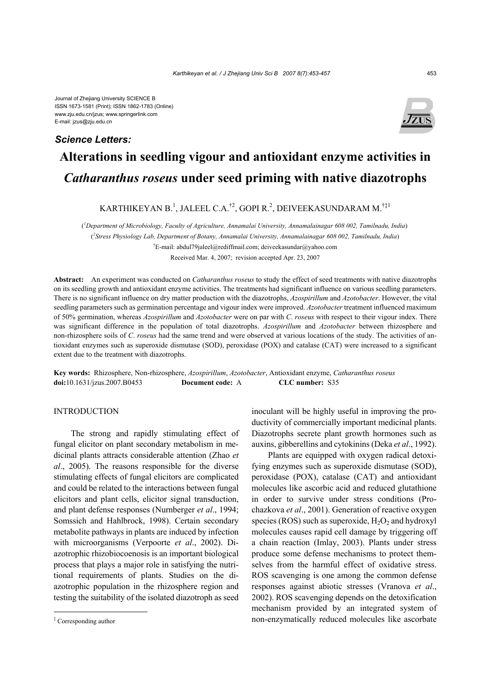Journal of Zhejiang University SCIENCE B ISSN 1673-1581 (Print); ISSN 1862-1783 (Online) www.zju.edu.cn/jzus; www.springerlink.com E-mail: jzus@zju.edu.cn

## *Science Letters:*



# **Alterations in seedling vigour and antioxidant enzyme activities in**  *Catharanthus roseus* **under seed priming with native diazotrophs**

KARTHIKEYAN B.<sup>1</sup>, JALEEL C.A.<sup>†2</sup>, GOPI R.<sup>2</sup>, DEIVEEKASUNDARAM M.<sup>†‡1</sup>

( *1 Department of Microbiology, Faculty of Agriculture, Annamalai University, Annamalainagar 608 002, Tamilnadu, India*) ( *2 Stress Physiology Lab, Department of Botany, Annamalai University, Annamalainagar 608 002, Tamilnadu, India*) † E-mail: abdul79jaleel@rediffmail.com; deiveekasundar@yahoo.com Received Mar. 4, 2007; revision accepted Apr. 23, 2007

**Abstract:** An experiment was conducted on *Catharanthus roseus* to study the effect of seed treatments with native diazotrophs on its seedling growth and antioxidant enzyme activities. The treatments had significant influence on various seedling parameters. There is no significant influence on dry matter production with the diazotrophs, *Azospirillum* and *Azotobacter*. However, the vital seedling parameters such as germination percentage and vigour index were improved. *Azotobacter* treatment influenced maximum of 50% germination, whereas *Azospirillum* and *Azotobacter* were on par with *C*. *roseus* with respect to their vigour index. There was significant difference in the population of total diazotrophs. *Azospirillum* and *Azotobacter* between rhizosphere and non-rhizosphere soils of *C*. *roseus* had the same trend and were observed at various locations of the study. The activities of antioxidant enzymes such as superoxide dismutase (SOD), peroxidase (POX) and catalase (CAT) were increased to a significant extent due to the treatment with diazotrophs.

**Key words:** Rhizosphere, Non-rhizosphere, *Azospirillum*, *Azotobacter*, Antioxidant enzyme, *Catharanthus roseus* **doi:**10.1631/jzus.2007.B0453 **Document code:** A **CLC number:** S35

#### **INTRODUCTION**

The strong and rapidly stimulating effect of fungal elicitor on plant secondary metabolism in medicinal plants attracts considerable attention (Zhao *et al*., 2005). The reasons responsible for the diverse stimulating effects of fungal elicitors are complicated and could be related to the interactions between fungal elicitors and plant cells, elicitor signal transduction, and plant defense responses (Nurnberger *et al*., 1994; Somssich and Hahlbrock, 1998). Certain secondary metabolite pathways in plants are induced by infection with microorganisms (Verpoorte *et al*., 2002). Diazotrophic rhizobiocoenosis is an important biological process that plays a major role in satisfying the nutritional requirements of plants. Studies on the diazotrophic population in the rhizosphere region and testing the suitability of the isolated diazotroph as seed

inoculant will be highly useful in improving the productivity of commercially important medicinal plants. Diazotrophs secrete plant growth hormones such as auxins, gibberellins and cytokinins (Deka *et al*., 1992).

Plants are equipped with oxygen radical detoxifying enzymes such as superoxide dismutase (SOD), peroxidase (POX), catalase (CAT) and antioxidant molecules like ascorbic acid and reduced glutathione in order to survive under stress conditions (Prochazkova *et al*., 2001). Generation of reactive oxygen species (ROS) such as superoxide,  $H_2O_2$  and hydroxyl molecules causes rapid cell damage by triggering off a chain reaction (Imlay, 2003). Plants under stress produce some defense mechanisms to protect themselves from the harmful effect of oxidative stress. ROS scavenging is one among the common defense responses against abiotic stresses (Vranova *et al*., 2002). ROS scavenging depends on the detoxification mechanism provided by an integrated system of non-enzymatically reduced molecules like ascorbate

<sup>‡</sup> Corresponding author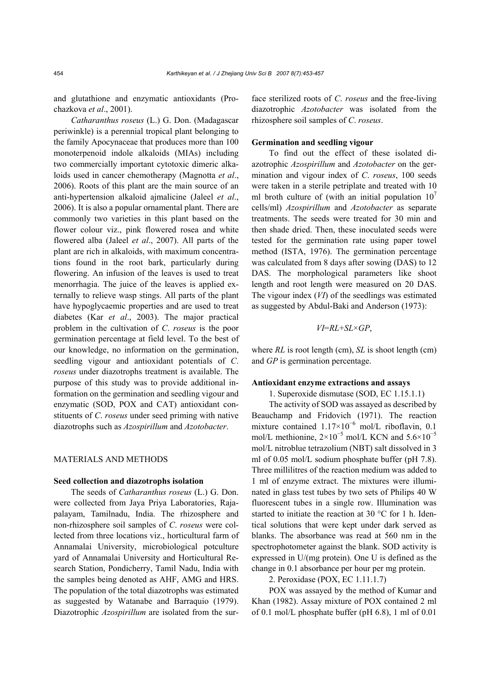and glutathione and enzymatic antioxidants (Prochazkova *et al*., 2001).

*Catharanthus roseus* (L.) G. Don. (Madagascar periwinkle) is a perennial tropical plant belonging to the family Apocynaceae that produces more than 100 monoterpenoid indole alkaloids (MIAs) including two commercially important cytotoxic dimeric alkaloids used in cancer chemotherapy (Magnotta *et al*., 2006). Roots of this plant are the main source of an anti-hypertension alkaloid ajmalicine (Jaleel *et al*., 2006). It is also a popular ornamental plant. There are commonly two varieties in this plant based on the flower colour viz., pink flowered rosea and white flowered alba (Jaleel *et al*., 2007). All parts of the plant are rich in alkaloids, with maximum concentrations found in the root bark, particularly during flowering. An infusion of the leaves is used to treat menorrhagia. The juice of the leaves is applied externally to relieve wasp stings. All parts of the plant have hypoglycaemic properties and are used to treat diabetes (Kar *et al*., 2003). The major practical problem in the cultivation of *C*. *roseus* is the poor germination percentage at field level. To the best of our knowledge, no information on the germination, seedling vigour and antioxidant potentials of *C*. *roseus* under diazotrophs treatment is available. The purpose of this study was to provide additional information on the germination and seedling vigour and enzymatic (SOD, POX and CAT) antioxidant constituents of *C*. *roseus* under seed priming with native diazotrophs such as *Azospirillum* and *Azotobacter*.

#### MATERIALS AND METHODS

#### **Seed collection and diazotrophs isolation**

The seeds of *Catharanthus roseus* (L.) G. Don. were collected from Jaya Priya Laboratories, Rajapalayam, Tamilnadu, India. The rhizosphere and non-rhizosphere soil samples of *C*. *roseus* were collected from three locations viz., horticultural farm of Annamalai University, microbiological potculture yard of Annamalai University and Horticultural Research Station, Pondicherry, Tamil Nadu, India with the samples being denoted as AHF, AMG and HRS. The population of the total diazotrophs was estimated as suggested by Watanabe and Barraquio (1979). Diazotrophic *Azospirillum* are isolated from the surface sterilized roots of *C*. *roseus* and the free-living diazotrophic *Azotobacter* was isolated from the rhizosphere soil samples of *C*. *roseus*.

#### **Germination and seedling vigour**

To find out the effect of these isolated diazotrophic *Azospirillum* and *Azotobacter* on the germination and vigour index of *C*. *roseus*, 100 seeds were taken in a sterile petriplate and treated with 10 ml broth culture of (with an initial population  $10<sup>7</sup>$ cells/ml) *Azospirillum* and *Azotobacter* as separate treatments. The seeds were treated for 30 min and then shade dried. Then, these inoculated seeds were tested for the germination rate using paper towel method (ISTA, 1976). The germination percentage was calculated from 8 days after sowing (DAS) to 12 DAS. The morphological parameters like shoot length and root length were measured on 20 DAS. The vigour index (*VI*) of the seedlings was estimated as suggested by Abdul-Baki and Anderson (1973):

*VI*=*RL*+*SL*×*GP*,

where *RL* is root length (cm), *SL* is shoot length (cm) and *GP* is germination percentage.

#### **Antioxidant enzyme extractions and assays**

1. Superoxide dismutase (SOD, EC 1.15.1.1)

The activity of SOD was assayed as described by Beauchamp and Fridovich (1971). The reaction mixture contained  $1.17 \times 10^{-6}$  mol/L riboflavin, 0.1 mol/L methionine,  $2\times10^{-5}$  mol/L KCN and  $5.6\times10^{-5}$ mol/L nitroblue tetrazolium (NBT) salt dissolved in 3 ml of 0.05 mol/L sodium phosphate buffer (pH 7.8). Three millilitres of the reaction medium was added to 1 ml of enzyme extract. The mixtures were illuminated in glass test tubes by two sets of Philips 40 W fluorescent tubes in a single row. Illumination was started to initiate the reaction at 30 °C for 1 h. Identical solutions that were kept under dark served as blanks. The absorbance was read at 560 nm in the spectrophotometer against the blank. SOD activity is expressed in U/(mg protein). One U is defined as the change in 0.1 absorbance per hour per mg protein.

2. Peroxidase (POX, EC 1.11.1.7)

POX was assayed by the method of Kumar and Khan (1982). Assay mixture of POX contained 2 ml of 0.1 mol/L phosphate buffer (pH 6.8), 1 ml of 0.01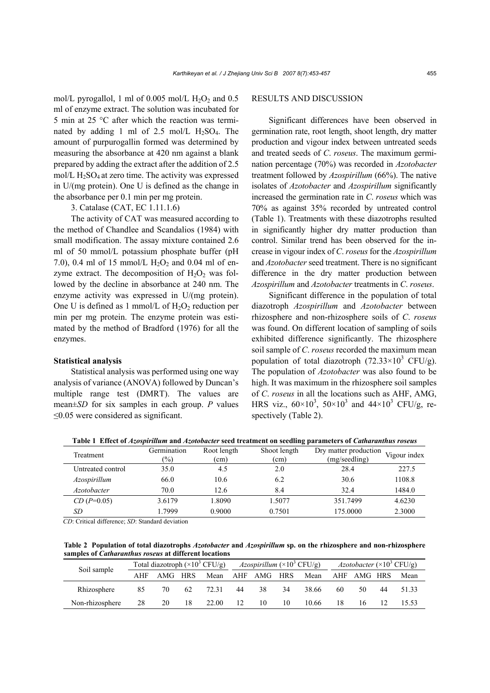mol/L pyrogallol, 1 ml of 0.005 mol/L  $H_2O_2$  and 0.5 ml of enzyme extract. The solution was incubated for 5 min at 25 °C after which the reaction was terminated by adding 1 ml of 2.5 mol/L  $H_2SO_4$ . The amount of purpurogallin formed was determined by measuring the absorbance at 420 nm against a blank prepared by adding the extract after the addition of 2.5 mol/L  $H_2SO_4$  at zero time. The activity was expressed in U/(mg protein). One U is defined as the change in the absorbance per 0.1 min per mg protein.

3. Catalase (CAT, EC 1.11.1.6)

The activity of CAT was measured according to the method of Chandlee and Scandalios (1984) with small modification. The assay mixture contained 2.6 ml of 50 mmol/L potassium phosphate buffer (pH 7.0), 0.4 ml of 15 mmol/L  $H_2O_2$  and 0.04 ml of enzyme extract. The decomposition of  $H_2O_2$  was followed by the decline in absorbance at 240 nm. The enzyme activity was expressed in U/(mg protein). One U is defined as 1 mmol/L of  $H_2O_2$  reduction per min per mg protein. The enzyme protein was estimated by the method of Bradford (1976) for all the enzymes.

#### **Statistical analysis**

Statistical analysis was performed using one way analysis of variance (ANOVA) followed by Duncan's multiple range test (DMRT). The values are mean±*SD* for six samples in each group. *P* values ≤0.05 were considered as significant.

### RESULTS AND DISCUSSION

Significant differences have been observed in germination rate, root length, shoot length, dry matter production and vigour index between untreated seeds and treated seeds of *C*. *roseus*. The maximum germination percentage (70%) was recorded in *Azotobacter* treatment followed by *Azospirillum* (66%). The native isolates of *Azotobacter* and *Azospirillum* significantly increased the germination rate in *C*. *roseus* which was 70% as against 35% recorded by untreated control (Table 1). Treatments with these diazotrophs resulted in significantly higher dry matter production than control. Similar trend has been observed for the increase in vigour index of *C*. *roseus* for the *Azospirillum*  and *Azotobacter* seed treatment. There is no significant difference in the dry matter production between *Azospirillum* and *Azotobacter* treatments in *C*. *roseus*.

Significant difference in the population of total diazotroph *Azospirillum* and *Azotobacter* between rhizosphere and non-rhizosphere soils of *C*. *roseus* was found. On different location of sampling of soils exhibited difference significantly. The rhizosphere soil sample of *C*. *roseus* recorded the maximum mean population of total diazotroph  $(72.33\times10^{3} \text{ CFU/g}).$ The population of *Azotobacter* was also found to be high. It was maximum in the rhizosphere soil samples of *C*. *roseus* in all the locations such as AHF, AMG, HRS viz.,  $60 \times 10^3$ ,  $50 \times 10^3$  and  $44 \times 10^3$  CFU/g, respectively (Table 2).

**Table 1 Effect of** *Azospirillum* **and** *Azotobacter* **seed treatment on seedling parameters of** *Catharanthus roseus*

| Treatment         | Germination<br>$(\%)$ | Root length<br>(cm) | Shoot length<br>(cm) | Dry matter production<br>(mg/seedling) | Vigour index |
|-------------------|-----------------------|---------------------|----------------------|----------------------------------------|--------------|
| Untreated control | 35.0                  | 4.5                 | 2.0                  | 28.4                                   | 227.5        |
| Azospirillum      | 66.0                  | 10.6                | 6.2                  | 30.6                                   | 1108.8       |
| Azotobacter       | 70.0                  | 12.6                | 8.4                  | 32.4                                   | 1484.0       |
| $CD(P=0.05)$      | 3.6179                | 1.8090              | 1.5077               | 351.7499                               | 4.6230       |
| SD                | 1.7999                | 0.9000              | 0.7501               | 175.0000                               | 2.3000       |

*CD*: Critical difference; *SD*: Standard deviation

**Table 2 Population of total diazotrophs** *Azotobacter* **and** *Azospirillum* **sp. on the rhizosphere and non-rhizosphere samples of** *Catharanthus roseus* **at different locations** 

| Soil sample     | Total diazotroph $(\times 10^3 \text{ CFU/g})$ |         |    | <i>Azospirillum</i> ( $\times 10^3$ CFU/g) |    |    | <i>Azotobacter</i> ( $\times$ 10 <sup>3</sup> CFU/g) |       |    |             |    |       |
|-----------------|------------------------------------------------|---------|----|--------------------------------------------|----|----|------------------------------------------------------|-------|----|-------------|----|-------|
|                 | AHF                                            | AMG HRS |    | Mean AHF AMG HRS                           |    |    |                                                      | Mean  |    | AHF AMG HRS |    | Mean  |
| Rhizosphere     | 85                                             | 70      | 62 | 72.31                                      | 44 | 38 | 34                                                   | 38.66 | 60 | 50          | 44 | 51.33 |
| Non-rhizosphere | 28                                             | 20      | 18 | 22.00                                      | 12 | 10 | 10                                                   | 10.66 | 18 | 16          |    |       |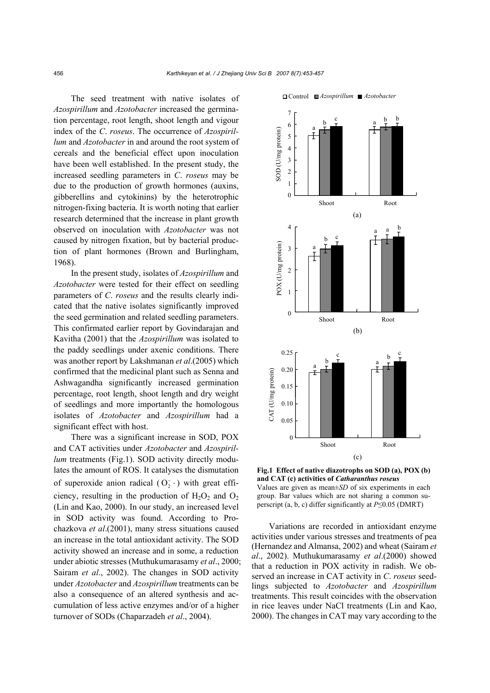The seed treatment with native isolates of *Azospirillum* and *Azotobacter* increased the germination percentage, root length, shoot length and vigour index of the *C*. *roseus*. The occurrence of *Azospirillum* and *Azotobacter* in and around the root system of cereals and the beneficial effect upon inoculation have been well established. In the present study, the increased seedling parameters in *C*. *roseus* may be due to the production of growth hormones (auxins, gibberellins and cytokinins) by the heterotrophic nitrogen-fixing bacteria. It is worth noting that earlier research determined that the increase in plant growth observed on inoculation with *Azotobacter* was not caused by nitrogen fixation, but by bacterial production of plant hormones (Brown and Burlingham, 1968).

In the present study, isolates of *Azospirillum* and *Azotobacter* were tested for their effect on seedling parameters of *C*. *roseus* and the results clearly indicated that the native isolates significantly improved the seed germination and related seedling parameters. This confirmated earlier report by Govindarajan and Kavitha (2001) that the *Azospirillum* was isolated to the paddy seedlings under axenic conditions. There was another report by Lakshmanan *et al*.(2005) which confirmed that the medicinal plant such as Senna and Ashwagandha significantly increased germination percentage, root length, shoot length and dry weight of seedlings and more importantly the homologous isolates of *Azotobacter* and *Azospirillum* had a significant effect with host.

There was a significant increase in SOD, POX and CAT activities under *Azotobacter* and *Azospirillum* treatments (Fig.1). SOD activity directly modulates the amount of ROS. It catalyses the dismutation of superoxide anion radical  $(O_2^- \cdot)$  with great efficiency, resulting in the production of  $H_2O_2$  and  $O_2$ (Lin and Kao, 2000). In our study, an increased level in SOD activity was found. According to Prochazkova *et al*.(2001), many stress situations caused an increase in the total antioxidant activity. The SOD activity showed an increase and in some, a reduction under abiotic stresses (Muthukumarasamy *et al*., 2000; Sairam *et al*., 2002). The changes in SOD activity under *Azotobacter* and *Azospirillum* treatments can be also a consequence of an altered synthesis and accumulation of less active enzymes and/or of a higher turnover of SODs (Chaparzadeh *et al*., 2004).



**Fig.1 Effect of native diazotrophs on SOD (a), POX (b) and CAT (c) activities of** *Catharanthus roseus*  Values are given as mean±*SD* of six experiments in each group. Bar values which are not sharing a common superscript (a, b, c) differ significantly at *P*≤0.05 (DMRT)

Variations are recorded in antioxidant enzyme activities under various stresses and treatments of pea (Hernandez and Almansa, 2002) and wheat (Sairam *et al*., 2002). Muthukumarasamy *et al*.(2000) showed that a reduction in POX activity in radish. We observed an increase in CAT activity in *C*. *roseus* seedlings subjected to *Azotobacter* and *Azospirillum* treatments. This result coincides with the observation in rice leaves under NaCl treatments (Lin and Kao, 2000). The changes in CAT may vary according to the

Control *Azospirillum Azotobacter*